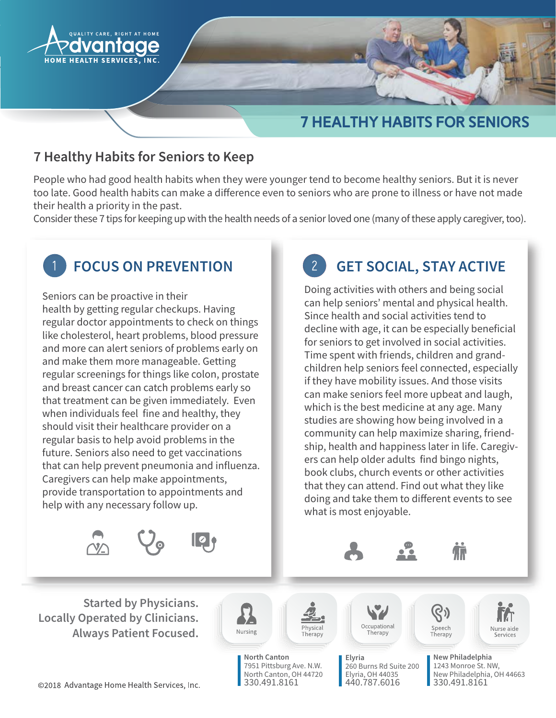

# **7 HEALTHY HABITS FOR SENIORS**

#### 7 Healthy Habits for Seniors to Keep

People who had good health habits when they were younger tend to become healthy seniors. But it is never too late. Good health habits can make a difference even to seniors who are prone to illness or have not made their health a priority in the past.

Consider these 7 tips for keeping up with the health needs of a senior loved one (many of these apply caregiver, too).



## **FOCUS ON PREVENTION**

Seniors can be proactive in their health by getting regular checkups. Having regular doctor appointments to check on things like cholesterol, heart problems, blood pressure and more can alert seniors of problems early on and make them more manageable. Getting regular screenings for things like colon, prostate and breast cancer can catch problems early so that treatment can be given immediately. Even when individuals feel fine and healthy, they should visit their healthcare provider on a regular basis to help avoid problems in the future. Seniors also need to get vaccinations that can help prevent pneumonia and influenza. Caregivers can help make appointments, provide transportation to appointments and help with any necessary follow up.







Doing activities with others and being social can help seniors' mental and physical health. Since health and social activities tend to decline with age, it can be especially beneficial for seniors to get involved in social activities. Time spent with friends, children and grandchildren help seniors feel connected, especially if they have mobility issues. And those visits can make seniors feel more upbeat and laugh, which is the best medicine at any age. Many studies are showing how being involved in a community can help maximize sharing, friendship, health and happiness later in life. Caregivers can help older adults find bingo nights, book clubs, church events or other activities that they can attend. Find out what they like doing and take them to different events to see what is most enjoyable.



North Canton 7951 Pittsburg Ave. N.W. North Canton, OH 44720 330.491.8161

Nursing

hysical

Therapy

Occupational Therapy

260 Burns Rd Suite 200

Elyria, OH 44035

440.787.6016

Elyria

Speech Therapy



New Philadelphia 1243 Monroe St. NW. New Philadelphia, OH 44663 330.491.8161